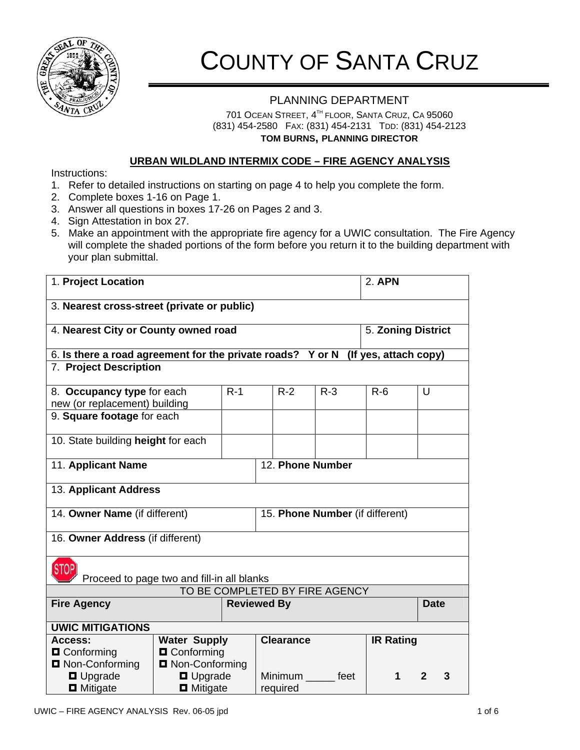

# COUNTY OF SANTA CRUZ

# PLANNING DEPARTMENT

701 OCEAN STREET, 4TH FLOOR, SANTA CRUZ, CA 95060 (831) 454-2580 FAX: (831) 454-2131 TDD: (831) 454-2123 **TOM BURNS, PLANNING DIRECTOR**

# **URBAN WILDLAND INTERMIX CODE – FIRE AGENCY ANALYSIS**

Instructions:

- 1. Refer to detailed instructions on starting on page 4 to help you complete the form.
- 2. Complete boxes 1-16 on Page 1.
- 3. Answer all questions in boxes 17-26 on Pages 2 and 3.
- 4. Sign Attestation in box 27.
- 5. Make an appointment with the appropriate fire agency for a UWIC consultation. The Fire Agency will complete the shaded portions of the form before you return it to the building department with your plan submittal.

| 1. Project Location                                                                 |                         |                    |                                 |       | <b>2. APN</b>      |             |  |
|-------------------------------------------------------------------------------------|-------------------------|--------------------|---------------------------------|-------|--------------------|-------------|--|
| 3. Nearest cross-street (private or public)                                         |                         |                    |                                 |       |                    |             |  |
| 4. Nearest City or County owned road                                                |                         |                    |                                 |       | 5. Zoning District |             |  |
| 6. Is there a road agreement for the private roads? Y or N<br>(If yes, attach copy) |                         |                    |                                 |       |                    |             |  |
| 7. Project Description                                                              |                         |                    |                                 |       |                    |             |  |
| 8. Occupancy type for each                                                          |                         | $R-1$              | $R-2$                           | $R-3$ | $R-6$              | U           |  |
| new (or replacement) building                                                       |                         |                    |                                 |       |                    |             |  |
| 9. Square footage for each                                                          |                         |                    |                                 |       |                    |             |  |
| 10. State building height for each                                                  |                         |                    |                                 |       |                    |             |  |
| 11. Applicant Name                                                                  |                         |                    | 12. Phone Number                |       |                    |             |  |
| 13. Applicant Address                                                               |                         |                    |                                 |       |                    |             |  |
| 14. Owner Name (if different)                                                       |                         |                    | 15. Phone Number (if different) |       |                    |             |  |
| 16. Owner Address (if different)                                                    |                         |                    |                                 |       |                    |             |  |
| <b>STOP</b><br>Proceed to page two and fill-in all blanks                           |                         |                    |                                 |       |                    |             |  |
| TO BE COMPLETED BY FIRE AGENCY                                                      |                         |                    |                                 |       |                    |             |  |
| <b>Fire Agency</b>                                                                  |                         | <b>Reviewed By</b> |                                 |       |                    | <b>Date</b> |  |
| <b>UWIC MITIGATIONS</b>                                                             |                         |                    |                                 |       |                    |             |  |
| Access:                                                                             | <b>Water Supply</b>     |                    | <b>Clearance</b>                |       | <b>IR Rating</b>   |             |  |
| <b>Q</b> Conforming                                                                 | <b>O</b> Conforming     |                    |                                 |       |                    |             |  |
| <b>Q</b> Non-Conforming                                                             | <b>Q</b> Non-Conforming |                    |                                 |       |                    |             |  |
| <b>D</b> Upgrade                                                                    | <b>D</b> Upgrade        |                    | Minimum feet                    |       | 1                  | 2<br>3      |  |
| $\blacksquare$ Mitigate                                                             | <b>D</b> Mitigate       |                    | required                        |       |                    |             |  |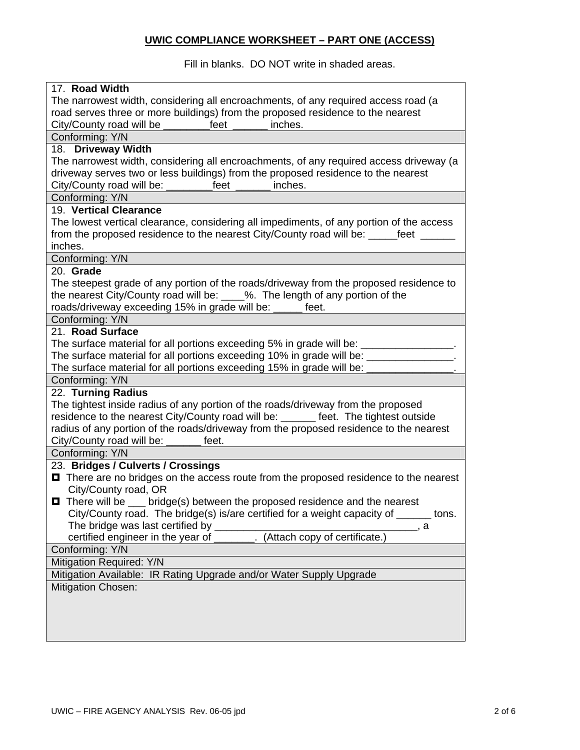# **UWIC COMPLIANCE WORKSHEET – PART ONE (ACCESS)**

Fill in blanks. DO NOT write in shaded areas.

| 17. Road Width                                                                                                                                |  |  |  |  |
|-----------------------------------------------------------------------------------------------------------------------------------------------|--|--|--|--|
| The narrowest width, considering all encroachments, of any required access road (a                                                            |  |  |  |  |
| road serves three or more buildings) from the proposed residence to the nearest                                                               |  |  |  |  |
| City/County road will be ________<br>feet<br>inches.                                                                                          |  |  |  |  |
| Conforming: Y/N                                                                                                                               |  |  |  |  |
| 18. Driveway Width                                                                                                                            |  |  |  |  |
| The narrowest width, considering all encroachments, of any required access driveway (a                                                        |  |  |  |  |
| driveway serves two or less buildings) from the proposed residence to the nearest<br>City/County road will be: __________feet _______ inches. |  |  |  |  |
| Conforming: Y/N                                                                                                                               |  |  |  |  |
| 19. Vertical Clearance                                                                                                                        |  |  |  |  |
| The lowest vertical clearance, considering all impediments, of any portion of the access                                                      |  |  |  |  |
| from the proposed residence to the nearest City/County road will be: ______feet ______                                                        |  |  |  |  |
| inches.                                                                                                                                       |  |  |  |  |
| Conforming: Y/N                                                                                                                               |  |  |  |  |
| 20. Grade                                                                                                                                     |  |  |  |  |
| The steepest grade of any portion of the roads/driveway from the proposed residence to                                                        |  |  |  |  |
| the nearest City/County road will be: ____%. The length of any portion of the                                                                 |  |  |  |  |
| roads/driveway exceeding 15% in grade will be:<br>feet.                                                                                       |  |  |  |  |
| Conforming: Y/N                                                                                                                               |  |  |  |  |
| 21. Road Surface                                                                                                                              |  |  |  |  |
| The surface material for all portions exceeding 5% in grade will be: ________________.                                                        |  |  |  |  |
| The surface material for all portions exceeding 10% in grade will be: ___________                                                             |  |  |  |  |
| The surface material for all portions exceeding 15% in grade will be:                                                                         |  |  |  |  |
| Conforming: Y/N                                                                                                                               |  |  |  |  |
| 22. Turning Radius                                                                                                                            |  |  |  |  |
| The tightest inside radius of any portion of the roads/driveway from the proposed                                                             |  |  |  |  |
| residence to the nearest City/County road will be: ______ feet. The tightest outside                                                          |  |  |  |  |
| radius of any portion of the roads/driveway from the proposed residence to the nearest                                                        |  |  |  |  |
| City/County road will be: ______ feet.                                                                                                        |  |  |  |  |
| Conforming: Y/N                                                                                                                               |  |  |  |  |
| 23. Bridges / Culverts / Crossings                                                                                                            |  |  |  |  |
| <b>O</b> There are no bridges on the access route from the proposed residence to the nearest                                                  |  |  |  |  |
| City/County road, OR                                                                                                                          |  |  |  |  |
| bridge(s) between the proposed residence and the nearest<br>$\blacksquare$ There will be                                                      |  |  |  |  |
| City/County road. The bridge(s) is/are certified for a weight capacity of ______ tons.                                                        |  |  |  |  |
| The bridge was last certified by ___________<br>_____, а                                                                                      |  |  |  |  |
| certified engineer in the year of ________. (Attach copy of certificate.)                                                                     |  |  |  |  |
| Conforming: Y/N                                                                                                                               |  |  |  |  |
| Mitigation Required: Y/N                                                                                                                      |  |  |  |  |
| Mitigation Available: IR Rating Upgrade and/or Water Supply Upgrade                                                                           |  |  |  |  |
| <b>Mitigation Chosen:</b>                                                                                                                     |  |  |  |  |
|                                                                                                                                               |  |  |  |  |
|                                                                                                                                               |  |  |  |  |
|                                                                                                                                               |  |  |  |  |
|                                                                                                                                               |  |  |  |  |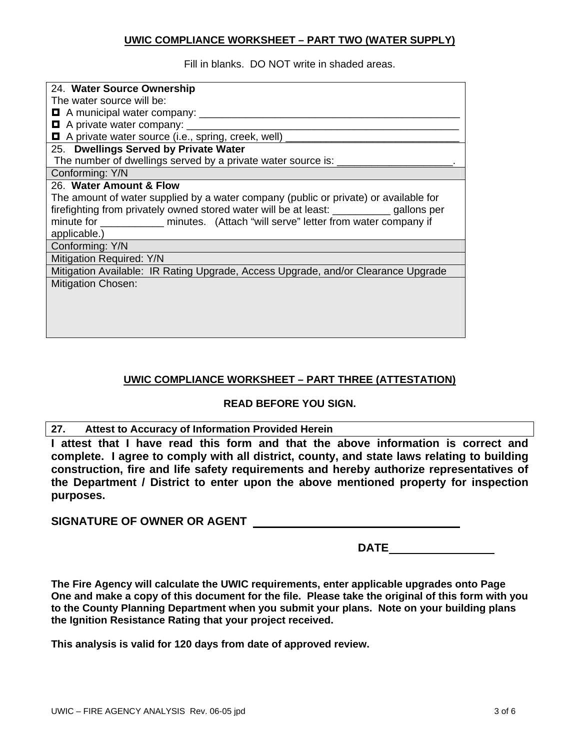# **UWIC COMPLIANCE WORKSHEET – PART TWO (WATER SUPPLY)**

Fill in blanks. DO NOT write in shaded areas.

| 24. Water Source Ownership                                                              |  |  |  |
|-----------------------------------------------------------------------------------------|--|--|--|
| The water source will be:                                                               |  |  |  |
|                                                                                         |  |  |  |
| $\blacksquare$ A private water company: $\blacksquare$                                  |  |  |  |
| □ A private water source (i.e., spring, creek, well)                                    |  |  |  |
| 25. Dwellings Served by Private Water                                                   |  |  |  |
| The number of dwellings served by a private water source is:                            |  |  |  |
| Conforming: Y/N                                                                         |  |  |  |
| 26. Water Amount & Flow                                                                 |  |  |  |
| The amount of water supplied by a water company (public or private) or available for    |  |  |  |
| firefighting from privately owned stored water will be at least: __________ gallons per |  |  |  |
| minute for ______________ minutes. (Attach "will serve" letter from water company if    |  |  |  |
| applicable.)                                                                            |  |  |  |
| Conforming: Y/N                                                                         |  |  |  |
| Mitigation Required: Y/N                                                                |  |  |  |
| Mitigation Available: IR Rating Upgrade, Access Upgrade, and/or Clearance Upgrade       |  |  |  |
| <b>Mitigation Chosen:</b>                                                               |  |  |  |
|                                                                                         |  |  |  |
|                                                                                         |  |  |  |
|                                                                                         |  |  |  |
|                                                                                         |  |  |  |

# **UWIC COMPLIANCE WORKSHEET – PART THREE (ATTESTATION)**

# **READ BEFORE YOU SIGN.**

# **27. Attest to Accuracy of Information Provided Herein**

**I attest that I have read this form and that the above information is correct and complete. I agree to comply with all district, county, and state laws relating to building construction, fire and life safety requirements and hereby authorize representatives of the Department / District to enter upon the above mentioned property for inspection purposes.** 

**SIGNATURE OF OWNER OR AGENT** 

**DATE** 

**The Fire Agency will calculate the UWIC requirements, enter applicable upgrades onto Page One and make a copy of this document for the file. Please take the original of this form with you to the County Planning Department when you submit your plans. Note on your building plans the Ignition Resistance Rating that your project received.** 

**This analysis is valid for 120 days from date of approved review.**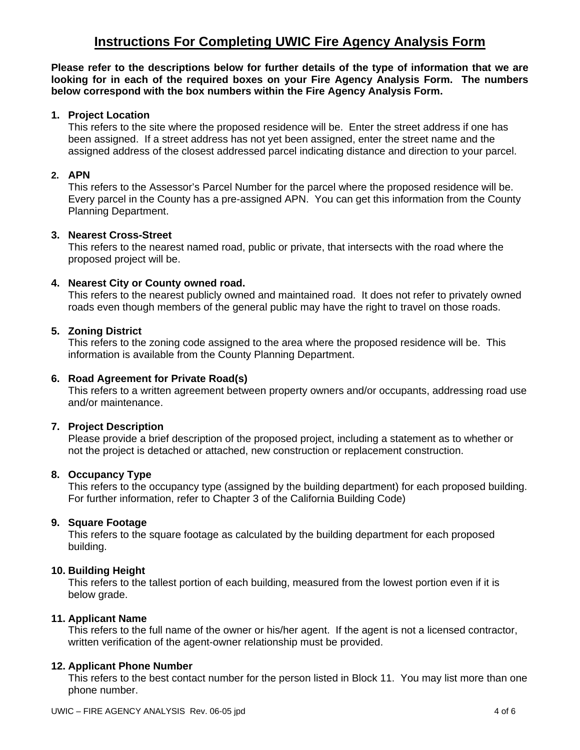# **Instructions For Completing UWIC Fire Agency Analysis Form**

**Please refer to the descriptions below for further details of the type of information that we are looking for in each of the required boxes on your Fire Agency Analysis Form. The numbers below correspond with the box numbers within the Fire Agency Analysis Form.** 

# **1. Project Location**

This refers to the site where the proposed residence will be. Enter the street address if one has been assigned. If a street address has not yet been assigned, enter the street name and the assigned address of the closest addressed parcel indicating distance and direction to your parcel.

# **2. APN**

 This refers to the Assessor's Parcel Number for the parcel where the proposed residence will be. Every parcel in the County has a pre-assigned APN. You can get this information from the County Planning Department.

## **3. Nearest Cross-Street**

 This refers to the nearest named road, public or private, that intersects with the road where the proposed project will be.

#### **4. Nearest City or County owned road.**

This refers to the nearest publicly owned and maintained road. It does not refer to privately owned roads even though members of the general public may have the right to travel on those roads.

#### **5. Zoning District**

This refers to the zoning code assigned to the area where the proposed residence will be. This information is available from the County Planning Department.

#### **6. Road Agreement for Private Road(s)**

 This refers to a written agreement between property owners and/or occupants, addressing road use and/or maintenance.

#### **7. Project Description**

 Please provide a brief description of the proposed project, including a statement as to whether or not the project is detached or attached, new construction or replacement construction.

#### **8. Occupancy Type**

 This refers to the occupancy type (assigned by the building department) for each proposed building. For further information, refer to Chapter 3 of the California Building Code)

# **9. Square Footage**

 This refers to the square footage as calculated by the building department for each proposed building.

#### **10. Building Height**

 This refers to the tallest portion of each building, measured from the lowest portion even if it is below grade.

#### **11. Applicant Name**

This refers to the full name of the owner or his/her agent. If the agent is not a licensed contractor, written verification of the agent-owner relationship must be provided.

#### **12. Applicant Phone Number**

This refers to the best contact number for the person listed in Block 11. You may list more than one phone number.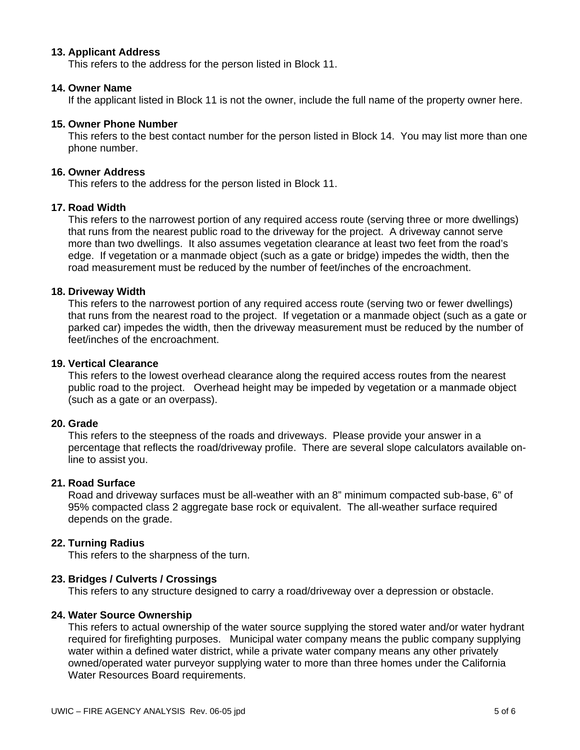#### **13. Applicant Address**

This refers to the address for the person listed in Block 11.

#### **14. Owner Name**

If the applicant listed in Block 11 is not the owner, include the full name of the property owner here.

#### **15. Owner Phone Number**

 This refers to the best contact number for the person listed in Block 14. You may list more than one phone number.

#### **16. Owner Address**

This refers to the address for the person listed in Block 11.

#### **17. Road Width**

 This refers to the narrowest portion of any required access route (serving three or more dwellings) that runs from the nearest public road to the driveway for the project. A driveway cannot serve more than two dwellings. It also assumes vegetation clearance at least two feet from the road's edge. If vegetation or a manmade object (such as a gate or bridge) impedes the width, then the road measurement must be reduced by the number of feet/inches of the encroachment.

#### **18. Driveway Width**

 This refers to the narrowest portion of any required access route (serving two or fewer dwellings) that runs from the nearest road to the project. If vegetation or a manmade object (such as a gate or parked car) impedes the width, then the driveway measurement must be reduced by the number of feet/inches of the encroachment.

#### **19. Vertical Clearance**

 This refers to the lowest overhead clearance along the required access routes from the nearest public road to the project. Overhead height may be impeded by vegetation or a manmade object (such as a gate or an overpass).

#### **20. Grade**

 This refers to the steepness of the roads and driveways. Please provide your answer in a percentage that reflects the road/driveway profile. There are several slope calculators available online to assist you.

#### **21. Road Surface**

Road and driveway surfaces must be all-weather with an 8" minimum compacted sub-base, 6" of 95% compacted class 2 aggregate base rock or equivalent. The all-weather surface required depends on the grade.

#### **22. Turning Radius**

This refers to the sharpness of the turn.

#### **23. Bridges / Culverts / Crossings**

This refers to any structure designed to carry a road/driveway over a depression or obstacle.

#### **24. Water Source Ownership**

 This refers to actual ownership of the water source supplying the stored water and/or water hydrant required for firefighting purposes. Municipal water company means the public company supplying water within a defined water district, while a private water company means any other privately owned/operated water purveyor supplying water to more than three homes under the California Water Resources Board requirements.